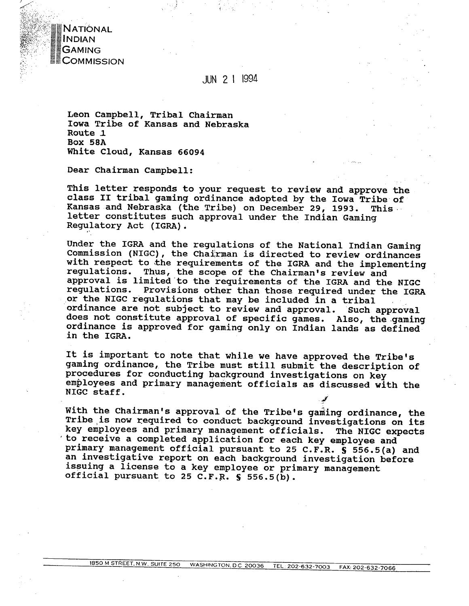

# JUN 2 1 1994

**Leon Campbell, Tribal Chairman Iowa Tribe of Kansas and Nebraska Route 1 Box 58A White Cloud, Kansas 66094** 

**Dear Chairman Campbell:** 

**This letter responds to your request to review and approve the class I1 tribal gaming ordinance adopted by the Iowa Tribe of Kansas and Nebraska (the Tribe) on December 29, 1993. This letter constitutes such approval under the Indian Gaming Regulatory Act (IGRA)** .

**Under the IGRA and the regulations of the National Indian Gaming Commission (NIGC), the Chairman is directed to review ordinances**  with respect to the requirements of the IGRA and the implementing requirements of the IGRA and the implementing Thus, the scope of the Chairman's review and **approval is limited to the requirements of the IGRA and the NIGC regulations. Provisions other than those required under the IGRA or the NIGC regulations that may be included in a tribal ordinance are not subject to review and approval. Such approval does not constitute approval of specific games. Also, the.gaming ordinance is approved for gaming only on Indian lands as defined in the IGRA.** 

**It is important to note that while we have approved the Tribe's gaming ordinance, the Tribe must still submit the description of procedures for conducting background investigations on key employees and primary management officials as discussed with the NIGC staff.** *Primary management Strictars as dis* 

With the Chairman's approval of the Tribe's gaming ordinance, the **Tribe is now required to conduct background investigations on its key e&ployees and primary management officials** . **The NIGC expects lto receive a completed application for each key employee and primary management official pursuant to 25 C.F.R. S 55.6.5(a) and an investigative report on each background investigation before issuing a license to a key employee or primary management official pursuant to 25 C.F.R. S 556.5(b).**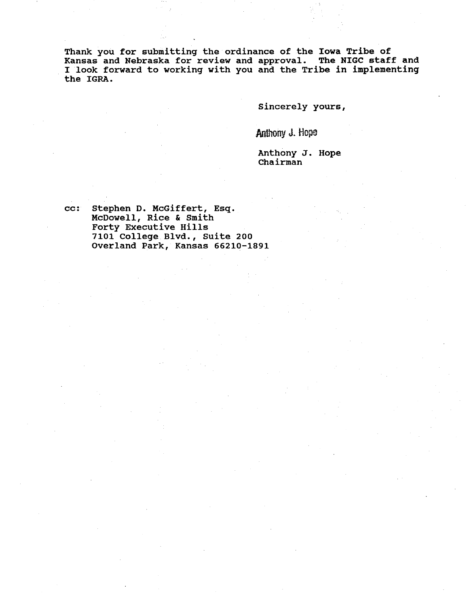**Thank you for submitting the ordinance of the Iowa Tribe of Kansas and Nebraska for review and approval. The NIGC staff and I look forward to working with you and the Tribe in implementing the IGRA.** 

**Sincerely yours,** 

Anthony J. Hope

**Anthony J. Hope Chairman** 

**cc: Stephen D. McGiffert, Esq. McDowell, Rice** & **Smith Forty Executive Hills 7101 College. Blvd., Suite 200 Overland Park, Kansas 66210-1891**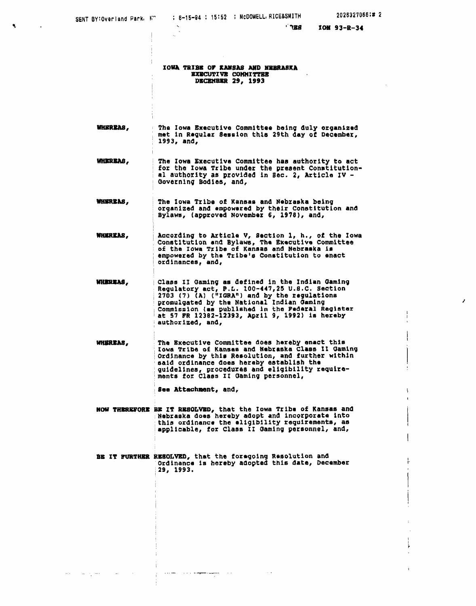$\Delta\Delta\sim 1$ 

 $\mathcal{L}^{\mathcal{L}}_{\mathcal{L}}$  and  $\mathcal{L}^{\mathcal{L}}_{\mathcal{L}}$  and  $\mathcal{L}^{\mathcal{L}}_{\mathcal{L}}$ 

**Contractor** 

 $\lambda$ 

 $^{\circ}$  788

**IONA TRIBE OF KANSAS AND NEBRASKA** EXECUTIVE COMMITTEE **DECEMBER 29, 1993** 

- **WHEREAS.** The Iowa Executive Committee being duly organized met in Regular Session this 29th day of December, 1993, and,
- WHEREAS, The Iowa Executive Committee has authority to act for the Iowa Tribe under the present Constitution-<br>al authority as provided in Sec. 2, Article IV -Governing Bodies, and,
- **WHEREAS.** The Iowa Tribe of Kansas and Nebraska being organized and empowered by their Constitution and<br>Bylaws, (approved November 6, 1978), and,
- According to Article V, Section 1, h., of the Iowa<br>Constitution and Bylaws, The Executive Committee WHEREAS. of the Iowa Tribe of Kansas and Nebraska is empowered by the Tribe's Constitution to enact ordinances, and,
- **WHEREAS.** Class II Gaming as defined in the Indian Gaming Regulatory act, P.L. 100-447, 25 U.S.C. Section<br>2703 (7) (A) ("IGRA") and by the regulations<br>promulgated by the National Indian Gaming Commission (as published in the Federal Register<br>at 57 FR 12382-12393, April 9, 1992) is hereby authorized, and,
- WHEREAS, The Executive Committee does hereby enact this Iowa Tribe of Kansas and Nebraska Class II Gaming ordinance by this Resolution, and further within<br>said ordinance does hereby establish the<br>quidelines, procedures and eligibility require-<br>ments for Class II Gaming personnel,

See Attachment, and,

المحادث المستهير فللفهم مالان والمراد المساوورة

- NOW THEREFORE BE IT RESOLVED, that the Iowa Tribe of Kansas and<br>Nebraska does hereby adopt and incorporate into<br>this ordinance the eligibility requirements, as applicable, for Class II Gaming personnel, and,
- BE IT FURTHER RESOLVED, that the foregoing Resolution and Ordinance is hereby adopted this date, December 29, 1993.

 $\sim$  .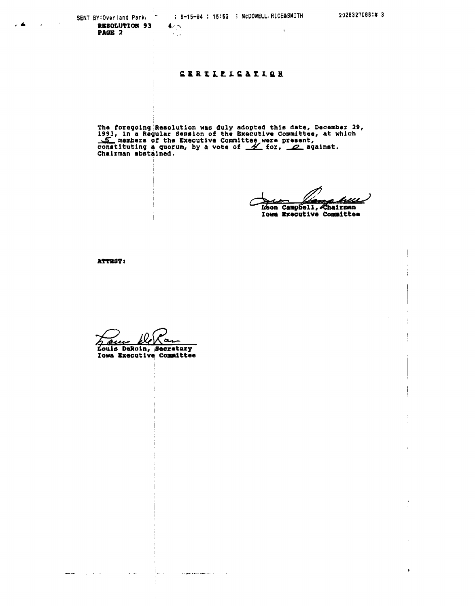SENT BY: Overland Park,  $\tilde{\phantom{a}}$ RESOLUTION 93 PAGE 2

 $\blacktriangle$ 

Į.

 $\mathcal{N}_{\text{max}}$ 

 $4/5$ 

### **CERTLEICATION**

The foregoing Resolution was duly adopted this date, December 29,<br>1993, in a Regular Session of the Executive Committee, at which<br> $\leq$  members of the Executive Committee were present,<br>constituting a quorum, by a vote of

huv سمعا

Leon Campbell, Chairman Iowa Executive Committee

ATTEST:

 $\bullet$ Louis DeRoin, Secretary<br>Iowa Executive Committee

11. L

المستشدين والمراد

 $\sim$   $\sim$ 

 $\sim 100$ 

 $\begin{aligned} \mathbf{1}_{\mathbf{1}_{\mathbf{2}_{\mathbf{3}_{\mathbf{3}}}}\mathbf{1}_{\mathbf{3}_{\mathbf{3}}}}\mathbf{1}_{\mathbf{1}_{\mathbf{3}_{\mathbf{3}}}}\mathbf{1}_{\mathbf{1}_{\mathbf{3}_{\mathbf{3}}}}\mathbf{1}_{\mathbf{1}_{\mathbf{3}_{\mathbf{3}}}}\mathbf{1}_{\mathbf{1}_{\mathbf{3}_{\mathbf{3}}}}\mathbf{1}_{\mathbf{1}_{\mathbf{3}_{\mathbf{3}}}}\mathbf{1}_{\mathbf{1}_{\mathbf{3}_{\mathbf{3}}}}\mathbf{1}_{\mathbf{1}_{\mathbf$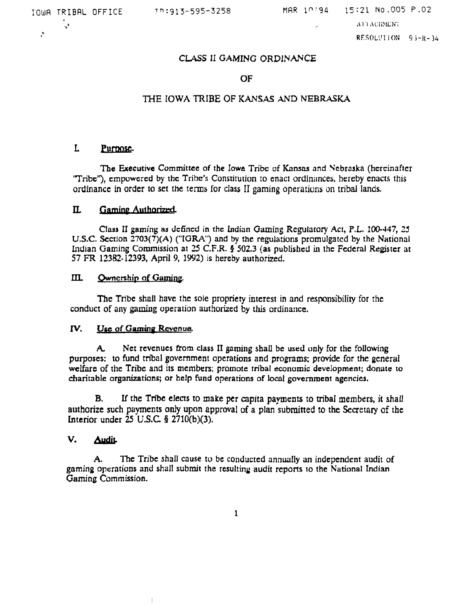**<sup>b</sup>**>

**h** 

/ ,\'I **'I ,\C:ii>lLX';** 

RFSOL!~'IION 9 **1-11-** *34* 

## **CLASS** II **GAMING** ORDINANCE

### OF.

### THE **IOWA TRIBE OF KANSAS AND NEBRASKA**

#### L Purpose.

**The Executive Committee of the Iowa Tribc** of Kansas **and Nebraska (hcrcinaftcr**  'Tribe'?, cmpuwcrcd **by thc Tribe's Consritution** to enact orclinirnces, hereby enacrs this **ordinance** in **order to set the** terms for class II **gaming operatiuns on tribal lands.** 

#### $\mathbf{u}$ Gaming Authorized

**Class** I1 **gaming nu dcfincd in** the **Indian Gaming** Regulatory **Act, P.L. 100-347, 25 U.S.C. Secrlon 2703(7)(A) ("IGRA") and by the regulations** promulgated **by the National**  Indian Gaming Commission at 25 C.F.R. § 502.3 (as published in the Federal Register at **57 FR 12382-12393, April 9,** 1992) **is hereby authorized.** 

#### $m$ Ownership of Gaming.

The **Tribe shall have the sole propriety interest in and responsibility for** the **conduct of any gaming operation authorized by this ordinance.** 

### **IV.** Use of Gaming Revenue.

 $\frac{1}{2}$ 

**A, Net revenues from class I1 gaming shall be used only** for the following **purposes: to fund** tnbal **government operations and programs: provide for the general**   $w$ elfare of the Tribe and its members; promote tribal economic development; donate to **charitable organizations; or help fund operations of** local **government agencies.** 

**B. If the Tnbe elecls to make per capita papens to tribal members, it shall authorize such payments only upon approval** of a **plan submitted to the Secretary of the Lnterior under 25 U.S.C 5 2710(b)(3).** 

#### V. **Audit**

**A. The Tribe shall cause tu be conducted** annwlly **an independent** audit **of gaming operations and shall submit the resulting audit reports to the National Indian Gaming Commission.** 

 $\mathbf{1}$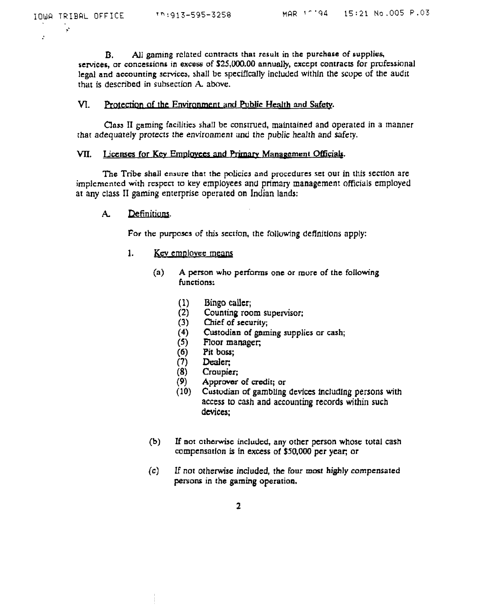$\ddot{\phantom{1}}$ 

 $\mathbf{B}$ . All gaming related contracts that result in the purchase of supplies, services, or concessions in excess of \$25,000.00 annually, except contracts for professional legal and accounting scrvices, shall be specifically included within the scope of the audit that is described in subsection A. above.

#### VI. Protection of the Environment and Public Health and Safety.

Class II gaming facilities shall be construed, maintained and operated in a manner that adequately protects the environment and the public health and safety.

### VII. Licenses for Key Employees and Primary Management Officials.

The Tribe shall ensure that the policies and procedures set out in this section are implemented with respect to key employees and primary management officials employed at any class II gaming enterprise operated on Indian lands:

#### Definitions.  $A_{-}$

For the purposes of this section, the following definitions apply:

- $1.$ Key employee means
	- $(a)$ A person who performs one or more of the following functions:
		- $(1)$ Bingo caller;
		- Counting room supervisor;  $(2)$
		- Chief of security;  $(3)$
		- Custodian of gaming supplies or cash;  $(4)$
		- $(5)$ Floor manager;
		- Pit boss;  $(6)$
		- $(7)$ Dealer:
		- $(8)$ Croupier;
		- $(9)$ Approver of credit; or
		- $(10)$ Custodian of gambling devices including persons with access to cash and accounting records within such devices;
	- $(b)$ If not otherwise included, any other person whose total cash compensation is in excess of \$50,000 per year; or
	- $(c)$ If not otherwise included, the four most highly compensated persons in the gaming operation.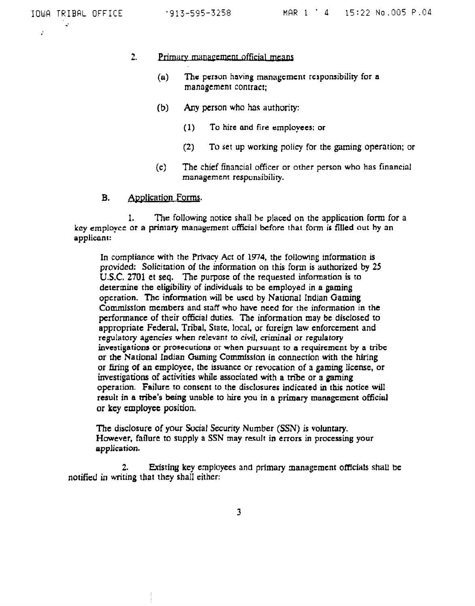$\cdot$ 

#### $2<sub>1</sub>$ Primary management official means

- **(u) The person having mnnagcmcnt** responsibility **for a**  manngcmcnr **contract;**
- (b) **Any person who has authority:** 
	- (1) **To hire and fire employees; or**
	- **(2) To set up woriung policy for the** gdming **operation; or**
- **(c)** The **chief** financial officer **or other person who has financial management responsibility.**

#### **B. Application Forms.**

1. **The following notice shall be placed on the application form for a key employee** or **a prinlary manayrment ufficial** before **that** form **is filled out by an applicant:** 

**In compliance with the Privacy Act of 1974, the followng infonnation is provided: Solicitation of the information on this form is authorized by 25 U.S.C. 2701 et seq. The purpose of** the **requested information is to determine the eligibility of individuals to be employed in a gaming operation. Thc infonnation will bt uscd by Narional Indian Gaming Comrnissfon members and staff whu have need for the information in the performance of their official duties. The information may be disclosed to appropriate Federal, Tribal, State, local, or foreign law enforcement and regulatory agencies when relevant to civil, criminal or regulatory investigations or prosecutions or when pursuunt to a rcquircmcnt by a tribc**  or the National Indian Gaming Commission in connection with the hiring **or firing of an employee, the issuance** or **revocation of a gaming license, or investigations of activities while associated with a tribe or a gaming operarion. Failure to consent** to **the disclosures indicated in this notice will result in a tribe's being unable to hire you in a primary rnnnagcmcnt** official **or key employee position.** 

**The disclosure of your Social Security Number (SSN) is voluntary. However, failure to supply a SSN may rewlt in errors in processing your application.** 

**2. Existing key employees and primary** management **officials shall be notified in writing that they shaII either:**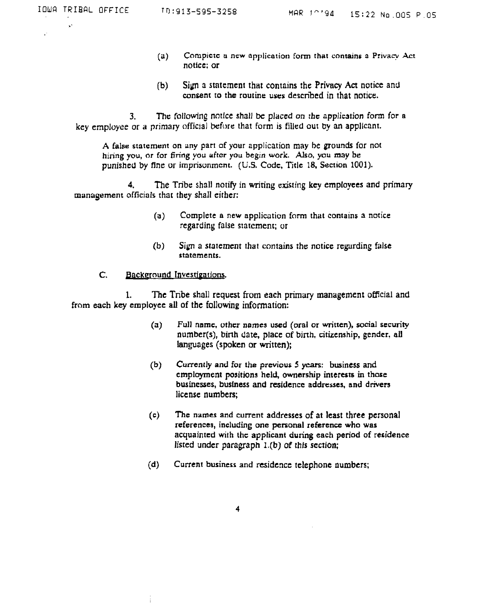..

 $\cdot$ 

- $(a)$  Compiete **a** new application form that contains a Privacy Act **notice; or**
- (b) **Sign 3 statement thnt contains** the **Privncy Act notice and consent to the routine uses descnlcd in that notice.**

**3. The:** following notice **shall be placed on** *the* **applicstion form for a key** employce or **a primary official before that form is filled** our **by an applicanr.** 

**A false statement on any part of your application may he grounds for not hiring you, or for firing you i~ftcr you begin work. Also, you may be punished by** flne or **irnprisunrncnt. (US. Code, Title 18, Section 1001).** 

**4, The Tribe shall notify in writing existing key employees and** primary **management officials that they shall either:** 

- **(a) Complete n new oppliwtion** form **that contains a notice regarding false starcment; ur**
- **(b)** sib^ **a statement that contains the notice regirding false statements.**

#### C. Background Investigations.

 $\frac{1}{4}$ 

I. **The Tribe shall request** from **each** primary **management** offfcial **and from** each **key employee all of the** following information:

- **(a) Full namc, othcr names used (oral or written), social security number(s), binh date, place of birth, citizenship, gender, all languages (spoken** or **written);**
- **(b) Currently and for the previous 5 years: business and cmploymtnt position3 held, ownership interests in those businesses, busfness and residence addresses, and drivers license numbers;**
- **(c) The names and current addresses of at least three personal references, including one personal reference who was acquainted with thc applicant during each period of reridencc listed under paragraph l.(b) of this section;**
- **(d) Current business and residence telephone numbers;**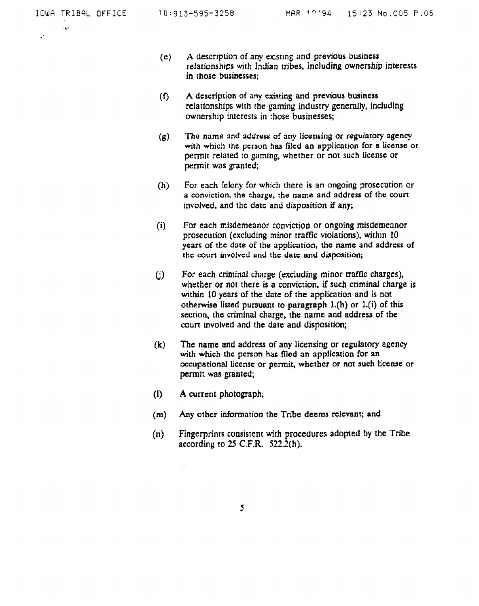$\Delta$ 

 $\mathbf{r}$ 

- $(e)$  **A** description of any existing and previous business **relarionships with Indian tribes, including ownership interests in those businesses;**
- **(f) A description of any existing and previous business relationships wtth the gaming industry generally, including ownership interests in :hose businesses;**
- **(g) The name and address of any licensing or regulatory agency with which the pcrson has filcd an application for a license or pemlt related** ro **gaming, whether or not such license or permit was granted;**
- **(h) For each felony for which there is an ongoing ?rosecution or a conviction, the charge, the name and address of the court involved, and the datc and disposition if any;**
- **(i) Fnr each misdemeanor conviction or ongoing misdemeanor prosecurion (excluding minor traffic violations), within 10 years of the date of the application, the name and address of**  the court involved and the date and disposition;
- (j) For each criminal charge (excluding minor traffic charges), **whether or not there is a conviction, if such criminal charge is within 10 years of the date of the application and is not otherwise listed pursuant to paragraph l.(h) or** l.(i) **of this scction,** thc **cn'minal charge, the name and address of thc mun involved and the date and disposition;**
- **(k) The name and address of any licensing or replatory agency with which the person has filed an application for an occupational license or permit, whcthcr or not such Liccnsc or permlt was granted;**
- **(I) A current photograph;**
- (m) **Any other information the Tribe deems rclcvant; and**
- **(n) Fingerprints consistent with procedures adopted by the Tribe according to 25 C.F.R. 522.2(h).**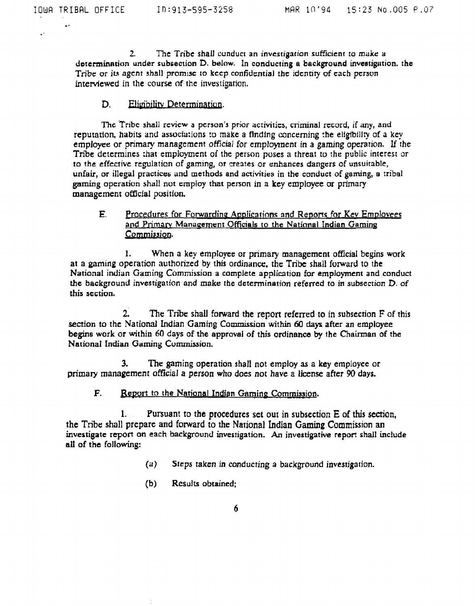$\cdot$ 

**2. The Tribe shall** cunducr **an** investigation sufficient to **make** a determination **under** subsection **D. below. In** conducting a background inveetigation. the **Tribe** or it\* **agcnt** shall **promlsc** to **kccp** confidential thc idcnfiry of **each pcrsvn**  interviewed in the **course of** the investigation.

### D. Eligibility Determination.

**Thc** 'Tribe shall **rcvicw** a pcrson's prior activities, criminal rccord, if any, and reputation, habits and associu:ions to **make** a **flndlng** concerning :he elfgfbtlly of a key employee or primary management official for employment in a gaming operation. If rhe Tribe determines that employment of the person poses a threat to the public interest or to **the** effective replalion of gaming, or **creates** or enhances dangers of unsuitable, unfair, or illegal practices and methods and activities in the conduct of gaming, a tribal **gaming** operation shall nut crnploy that **person** in **a key employee or** primary management official position.

# **E.** Procedures for Forwarding Applications and Reports for Key Employees and Primary Management Officials to the National Indian Gaming **Commissiog.**

**1.** When a key employee or primary management **official** beyins work **at a gaming** operation authorized by this ordinance. the **Tribe shall** forward to the National indian **Gaming** Commission a complete application for employment and conduct the background investigation and **make** the determination referred to **in** subsection **D,** of this section,

2. The Tribe shall forward the report referred to in subsection F of this section to the **National** Indian **Gaming Commission** within **60 days** after an employee **begins work or within 60 days of the approval of this** ordinance by the Chairman of the National Indian Gaming Cummission.

**3.** The gaming operation shall not **employ as** a **key employee** or **primary management official a person who does not** have **a** license after 90 **days.** 

**F. Report to the National Indian Gaming Commission.** 

**1. Pursuant** to **the procedures** set our in subsection E of this **section,**  the Tribe shall prepare **and** forward to **the** National Indian **Gaming** Commission an investigate report **on** each **background** investigation. An investigative **repon** shall include **all of the following:** 

- **(a)** Steps taken in conducting a **background** investigation.
- (b) **Results** obtained: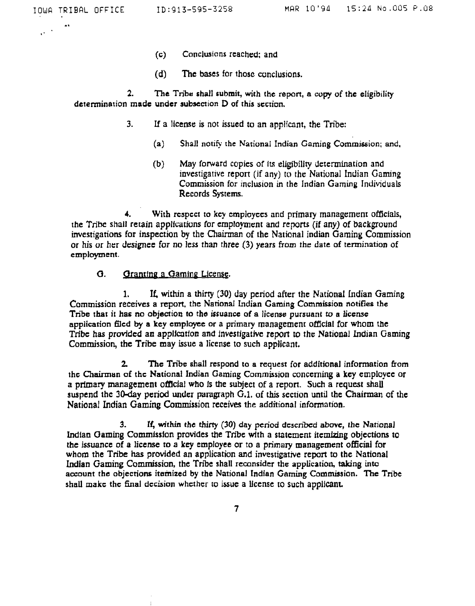- **(c) Conclusions** reached; and
- **(d) The bases** for those conclusions.

**2. The Tribe shall submit, with the repan, a copy of the eligibility detenninetion made under subsection D of this scction.** 

- **3.** If a license is not issued to **an** applicant, the Tnbe:
	- **(a)** Shall **noti&** the National Indian **Caming Commission; and,**
	- (b) May forward copies of its eligibility determination and investigative report (if **any)** to the National Indian **Gaming**  Commission for inclusion in the Indian **Gaming** Individuals Records System.

**4.** With rcspcct to **kcy crnployccs** and primary management officials, **rhe Tribe** shall retain applfatiuns for emplo,vment and reports (if **any)** of **background**  investigations for inspection by the **Chairman of the** National **indian Gaming** Commission **or** his or her **designee** for no less than three (3) **years** from the **date** of termination **of**  employment.

## **0.** *<u>Granting a Gaming License</u>*.

**1.** If, within a thirty (30) day period after the National Indian Gaming **Commission** receives a report, the **National** Indian **Gaming Commission notifies** the **Tnbe** that it has no **objection to the issuance of a license pursuant to a license**  application mcd **by** a **kcy cmployet or a primary management official** for whom **the**  Tribe has provided an application and investigative report to the National Indian Gaming Commission, the Tribe **may** issue a license to such applicant.

**2 The** Tribe shall respond **to** a **request** for additional information **from**  thc **Chainnan** of **thc National Indian Gaming Commission** concerning a key employee or a primary management official who is the subject of a report. Such a request shall suspend **the 30-day period under paragraph G.1,** of this section until **the** Chairman of the National Indian **Gaming Commission** receives the additional information.

**3. If, within the thirty (30) day period dcscnbcd above, the National**  Indian **aaming Commission** provides the Tribe **with** a statement itemizing objections to **the** issuance of a license to a key employee or to a primary management **official for**  whom **the** Tribe **has** provided an application and investigative **report** to the National **Indian** Gaming Commission, the Tribe shall **reconsider** the application, **taking into**  account **the objections** itemized **by the National Indian Gaming** Commission. **The** Tribe shall **makc thc final decision whcthcr to issue** a license ro **such** applicant.